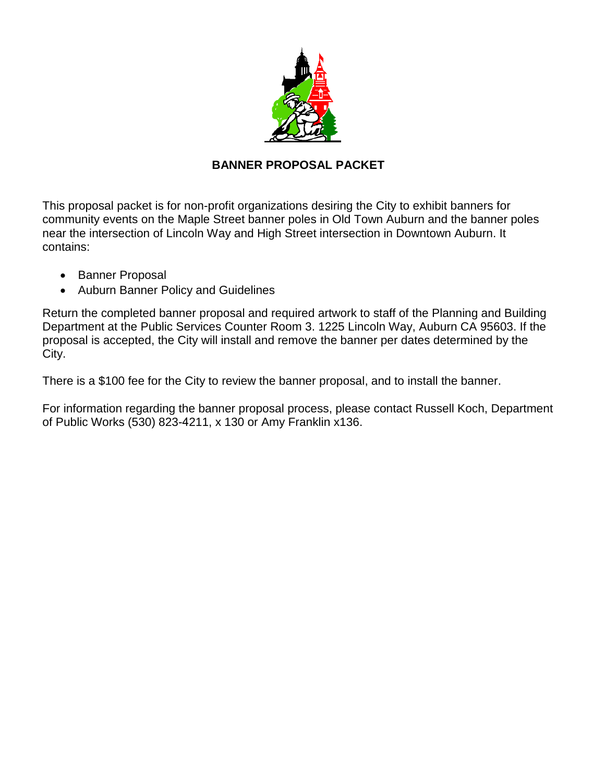

# **BANNER PROPOSAL PACKET**

This proposal packet is for non-profit organizations desiring the City to exhibit banners for community events on the Maple Street banner poles in Old Town Auburn and the banner poles near the intersection of Lincoln Way and High Street intersection in Downtown Auburn. It contains:

- Banner Proposal
- Auburn Banner Policy and Guidelines

Return the completed banner proposal and required artwork to staff of the Planning and Building Department at the Public Services Counter Room 3. 1225 Lincoln Way, Auburn CA 95603. If the proposal is accepted, the City will install and remove the banner per dates determined by the City.

There is a \$100 fee for the City to review the banner proposal, and to install the banner.

For information regarding the banner proposal process, please contact Russell Koch, Department of Public Works (530) 823-4211, x 130 or Amy Franklin x136.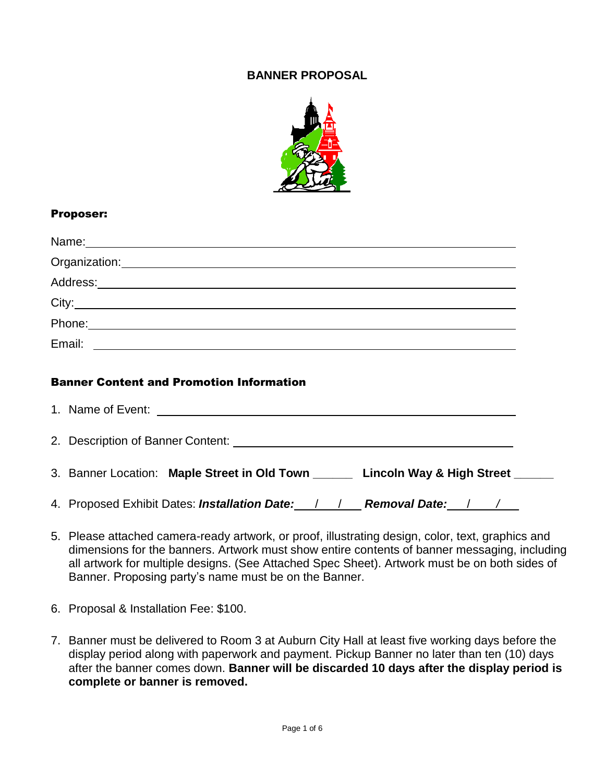## **BANNER PROPOSAL**



#### Proposer:

| Name: 2008 - 2008 - 2010 - 2010 - 2011 - 2012 - 2014 - 2014 - 2014 - 2014 - 2014 - 2014 - 2014 - 2014 - 2014 -                                                                                                                 |  |
|--------------------------------------------------------------------------------------------------------------------------------------------------------------------------------------------------------------------------------|--|
| Organization: New York Changes and Changes and Changes and Changes and Changes and Changes and Changes and Changes and Changes and Changes and Changes and Changes and Changes and Changes and Changes and Changes and Changes |  |
|                                                                                                                                                                                                                                |  |
|                                                                                                                                                                                                                                |  |
| Phone: 2008 2010 2010 2010 2010 2011 2012 2013 2014 2015 2016 2017 2018 2019 2019 2019 2010 2011 2012 2014 201                                                                                                                 |  |
| Email:                                                                                                                                                                                                                         |  |
|                                                                                                                                                                                                                                |  |

#### Banner Content and Promotion Information

| 2. Description of Banner Content: Webler and Content of The Content of The Content of The Content of The Content |  |
|------------------------------------------------------------------------------------------------------------------|--|
| 3. Banner Location: Maple Street in Old Town _______ Lincoln Way & High Street ______                            |  |
| 4. Proposed Exhibit Dates: <i>Installation Date:</i> / / <b>Removal Date:</b> / / _                              |  |

- 5. Please attached camera-ready artwork, or proof, illustrating design, color, text, graphics and dimensions for the banners. Artwork must show entire contents of banner messaging, including all artwork for multiple designs. (See Attached Spec Sheet). Artwork must be on both sides of Banner. Proposing party's name must be on the Banner.
- 6. Proposal & Installation Fee: \$100.
- 7. Banner must be delivered to Room 3 at Auburn City Hall at least five working days before the display period along with paperwork and payment. Pickup Banner no later than ten (10) days after the banner comes down. **Banner will be discarded 10 days after the display period is complete or banner is removed.**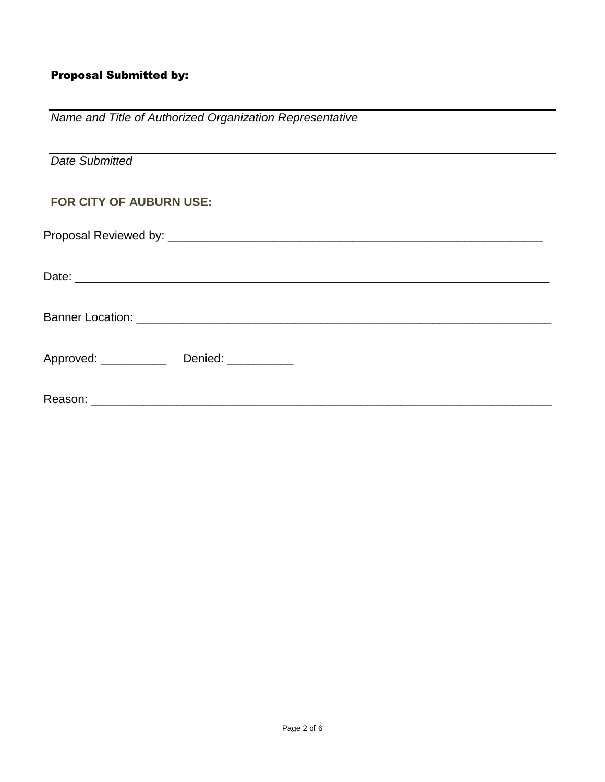# Proposal Submitted by:

| Name and Title of Authorized Organization Representative |
|----------------------------------------------------------|
| <b>Date Submitted</b>                                    |
| FOR CITY OF AUBURN USE:                                  |
|                                                          |
|                                                          |
|                                                          |
| Approved: _______________ Denied: ___________            |
|                                                          |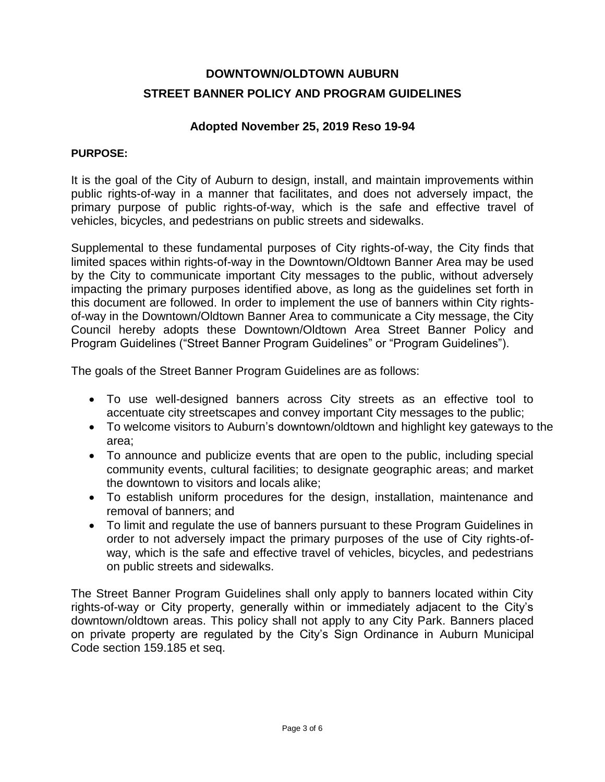# **DOWNTOWN/OLDTOWN AUBURN STREET BANNER POLICY AND PROGRAM GUIDELINES**

## **Adopted November 25, 2019 Reso 19-94**

#### **PURPOSE:**

It is the goal of the City of Auburn to design, install, and maintain improvements within public rights-of-way in a manner that facilitates, and does not adversely impact, the primary purpose of public rights-of-way, which is the safe and effective travel of vehicles, bicycles, and pedestrians on public streets and sidewalks.

Supplemental to these fundamental purposes of City rights-of-way, the City finds that limited spaces within rights-of-way in the Downtown/Oldtown Banner Area may be used by the City to communicate important City messages to the public, without adversely impacting the primary purposes identified above, as long as the guidelines set forth in this document are followed. In order to implement the use of banners within City rightsof-way in the Downtown/Oldtown Banner Area to communicate a City message, the City Council hereby adopts these Downtown/Oldtown Area Street Banner Policy and Program Guidelines ("Street Banner Program Guidelines" or "Program Guidelines").

The goals of the Street Banner Program Guidelines are as follows:

- To use well-designed banners across City streets as an effective tool to accentuate city streetscapes and convey important City messages to the public;
- To welcome visitors to Auburn's downtown/oldtown and highlight key gateways to the area;
- To announce and publicize events that are open to the public, including special community events, cultural facilities; to designate geographic areas; and market the downtown to visitors and locals alike;
- To establish uniform procedures for the design, installation, maintenance and removal of banners; and
- To limit and regulate the use of banners pursuant to these Program Guidelines in order to not adversely impact the primary purposes of the use of City rights-ofway, which is the safe and effective travel of vehicles, bicycles, and pedestrians on public streets and sidewalks.

The Street Banner Program Guidelines shall only apply to banners located within City rights-of-way or City property, generally within or immediately adjacent to the City's downtown/oldtown areas. This policy shall not apply to any City Park. Banners placed on private property are regulated by the City's Sign Ordinance in Auburn Municipal Code section 159.185 et seq.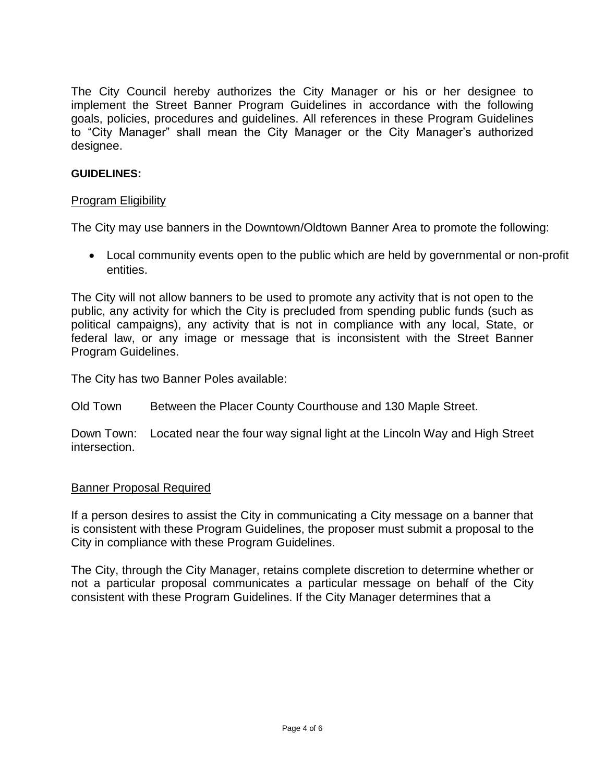The City Council hereby authorizes the City Manager or his or her designee to implement the Street Banner Program Guidelines in accordance with the following goals, policies, procedures and guidelines. All references in these Program Guidelines to "City Manager" shall mean the City Manager or the City Manager's authorized designee.

#### **GUIDELINES:**

#### Program Eligibility

The City may use banners in the Downtown/Oldtown Banner Area to promote the following:

 Local community events open to the public which are held by governmental or non-profit entities.

The City will not allow banners to be used to promote any activity that is not open to the public, any activity for which the City is precluded from spending public funds (such as political campaigns), any activity that is not in compliance with any local, State, or federal law, or any image or message that is inconsistent with the Street Banner Program Guidelines.

The City has two Banner Poles available:

Old Town Between the Placer County Courthouse and 130 Maple Street.

Down Town: Located near the four way signal light at the Lincoln Way and High Street intersection.

#### Banner Proposal Required

If a person desires to assist the City in communicating a City message on a banner that is consistent with these Program Guidelines, the proposer must submit a proposal to the City in compliance with these Program Guidelines.

The City, through the City Manager, retains complete discretion to determine whether or not a particular proposal communicates a particular message on behalf of the City consistent with these Program Guidelines. If the City Manager determines that a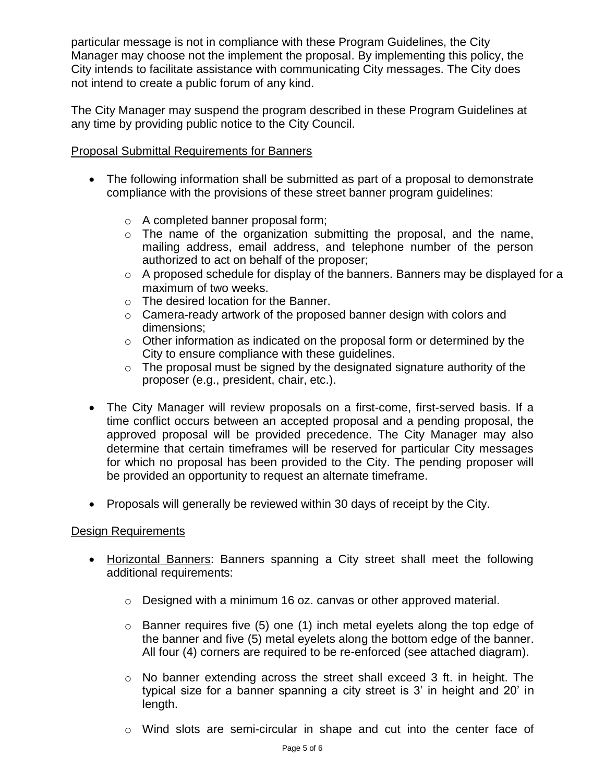particular message is not in compliance with these Program Guidelines, the City Manager may choose not the implement the proposal. By implementing this policy, the City intends to facilitate assistance with communicating City messages. The City does not intend to create a public forum of any kind.

The City Manager may suspend the program described in these Program Guidelines at any time by providing public notice to the City Council.

## Proposal Submittal Requirements for Banners

- The following information shall be submitted as part of a proposal to demonstrate compliance with the provisions of these street banner program guidelines:
	- o A completed banner proposal form;
	- $\circ$  The name of the organization submitting the proposal, and the name, mailing address, email address, and telephone number of the person authorized to act on behalf of the proposer;
	- o A proposed schedule for display of the banners. Banners may be displayed for a maximum of two weeks.
	- o The desired location for the Banner.
	- o Camera-ready artwork of the proposed banner design with colors and dimensions;
	- o Other information as indicated on the proposal form or determined by the City to ensure compliance with these guidelines.
	- $\circ$  The proposal must be signed by the designated signature authority of the proposer (e.g., president, chair, etc.).
- The City Manager will review proposals on a first-come, first-served basis. If a time conflict occurs between an accepted proposal and a pending proposal, the approved proposal will be provided precedence. The City Manager may also determine that certain timeframes will be reserved for particular City messages for which no proposal has been provided to the City. The pending proposer will be provided an opportunity to request an alternate timeframe.
- Proposals will generally be reviewed within 30 days of receipt by the City.

#### Design Requirements

- Horizontal Banners: Banners spanning a City street shall meet the following additional requirements:
	- o Designed with a minimum 16 oz. canvas or other approved material.
	- $\circ$  Banner requires five (5) one (1) inch metal eyelets along the top edge of the banner and five (5) metal eyelets along the bottom edge of the banner. All four (4) corners are required to be re-enforced (see attached diagram).
	- $\circ$  No banner extending across the street shall exceed 3 ft. in height. The typical size for a banner spanning a city street is 3' in height and 20' in length.
	- o Wind slots are semi-circular in shape and cut into the center face of